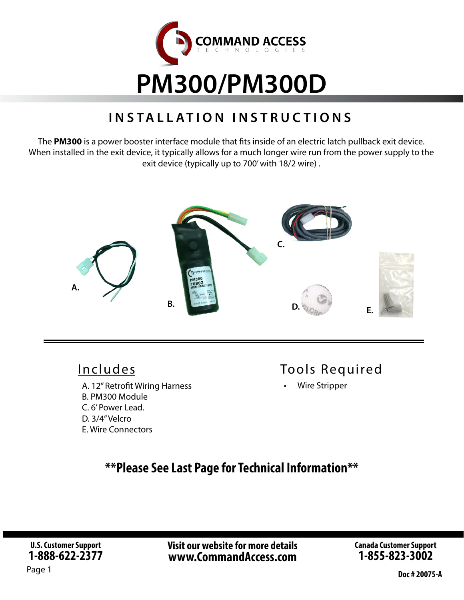

# **INSTALLATION INSTRUCTIONS**

The **PM300** is a power booster interface module that fits inside of an electric latch pullback exit device. When installed in the exit device, it typically allows for a much longer wire run from the power supply to the exit device (typically up to 700' with 18/2 wire) .



## Includes

A. 12" Retrofit Wiring Harness B. PM300 Module C. 6' Power Lead. D. 3/4" Velcro E. Wire Connectors

# Tools Required

• Wire Stripper

# **\*\*Please See Last Page for Technical Information\*\***

**Visit our website for more details www.CommandAccess.com**

**Canada Customer Support 1-855-823-3002**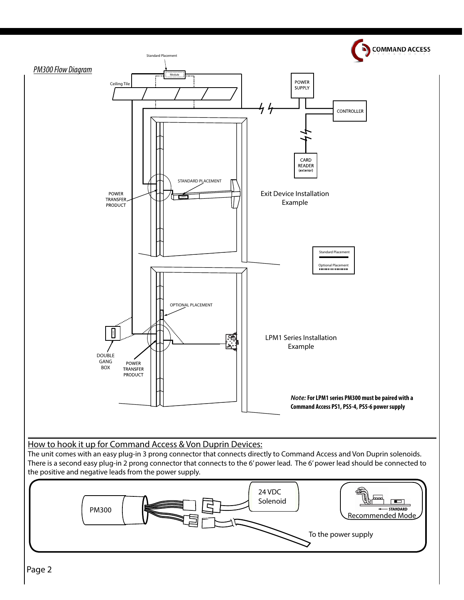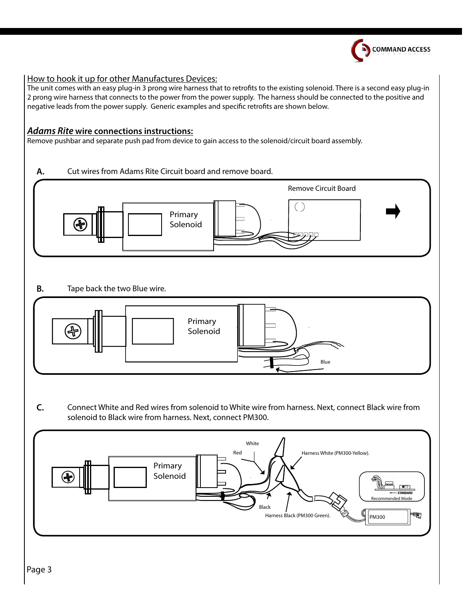

#### How to hook it up for other Manufactures Devices:

The unit comes with an easy plug-in 3 prong wire harness that to retrofits to the existing solenoid. There is a second easy plug-in 2 prong wire harness that connects to the power from the power supply. The harness should be connected to the positive and negative leads from the power supply. Generic examples and specific retrofits are shown below.

#### *Adams Rite* **wire connections instructions:**

Remove pushbar and separate push pad from device to gain access to the solenoid/circuit board assembly.

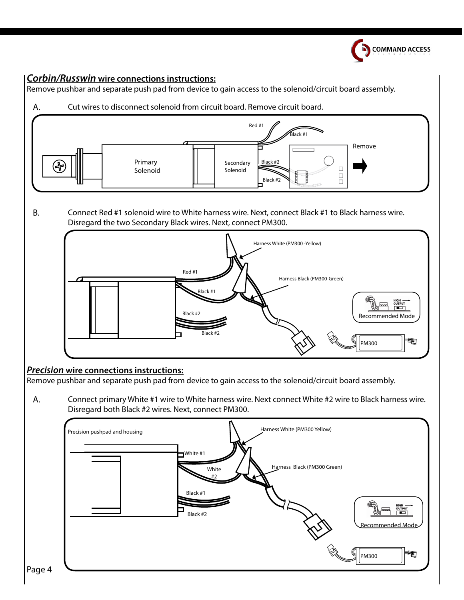

## *Corbin/Russwin* **wire connections instructions:**

Remove pushbar and separate push pad from device to gain access to the solenoid/circuit board assembly.